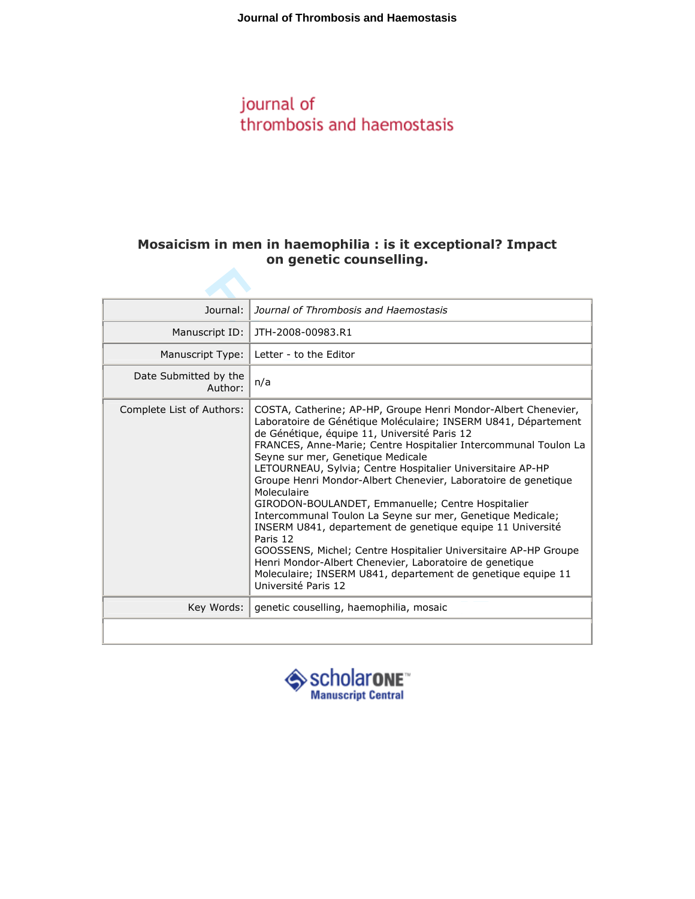## journal of thrombosis and haemostasis

## Mosaicism in men in haemophilia : is it exceptional? Impact on genetic counselling.

| Journal:                         | Journal of Thrombosis and Haemostasis                                                                                                                                                                                                                                                                                                                                                                                                                                                                                                                                                                                                                                                                                                                                                                                                                     |
|----------------------------------|-----------------------------------------------------------------------------------------------------------------------------------------------------------------------------------------------------------------------------------------------------------------------------------------------------------------------------------------------------------------------------------------------------------------------------------------------------------------------------------------------------------------------------------------------------------------------------------------------------------------------------------------------------------------------------------------------------------------------------------------------------------------------------------------------------------------------------------------------------------|
| Manuscript ID:                   | JTH-2008-00983.R1                                                                                                                                                                                                                                                                                                                                                                                                                                                                                                                                                                                                                                                                                                                                                                                                                                         |
| Manuscript Type:                 | Letter - to the Editor                                                                                                                                                                                                                                                                                                                                                                                                                                                                                                                                                                                                                                                                                                                                                                                                                                    |
| Date Submitted by the<br>Author: | n/a                                                                                                                                                                                                                                                                                                                                                                                                                                                                                                                                                                                                                                                                                                                                                                                                                                                       |
| Complete List of Authors:        | COSTA, Catherine; AP-HP, Groupe Henri Mondor-Albert Chenevier,<br>Laboratoire de Génétique Moléculaire; INSERM U841, Département<br>de Génétique, équipe 11, Université Paris 12<br>FRANCES, Anne-Marie; Centre Hospitalier Intercommunal Toulon La<br>Seyne sur mer, Genetique Medicale<br>LETOURNEAU, Sylvia; Centre Hospitalier Universitaire AP-HP<br>Groupe Henri Mondor-Albert Chenevier, Laboratoire de genetique<br>Moleculaire<br>GIRODON-BOULANDET, Emmanuelle; Centre Hospitalier<br>Intercommunal Toulon La Seyne sur mer, Genetique Medicale;<br>INSERM U841, departement de genetique equipe 11 Université<br>Paris 12<br>GOOSSENS, Michel; Centre Hospitalier Universitaire AP-HP Groupe<br>Henri Mondor-Albert Chenevier, Laboratoire de genetique<br>Moleculaire; INSERM U841, departement de genetique equipe 11<br>Université Paris 12 |
| Key Words:                       | genetic couselling, haemophilia, mosaic                                                                                                                                                                                                                                                                                                                                                                                                                                                                                                                                                                                                                                                                                                                                                                                                                   |
|                                  |                                                                                                                                                                                                                                                                                                                                                                                                                                                                                                                                                                                                                                                                                                                                                                                                                                                           |

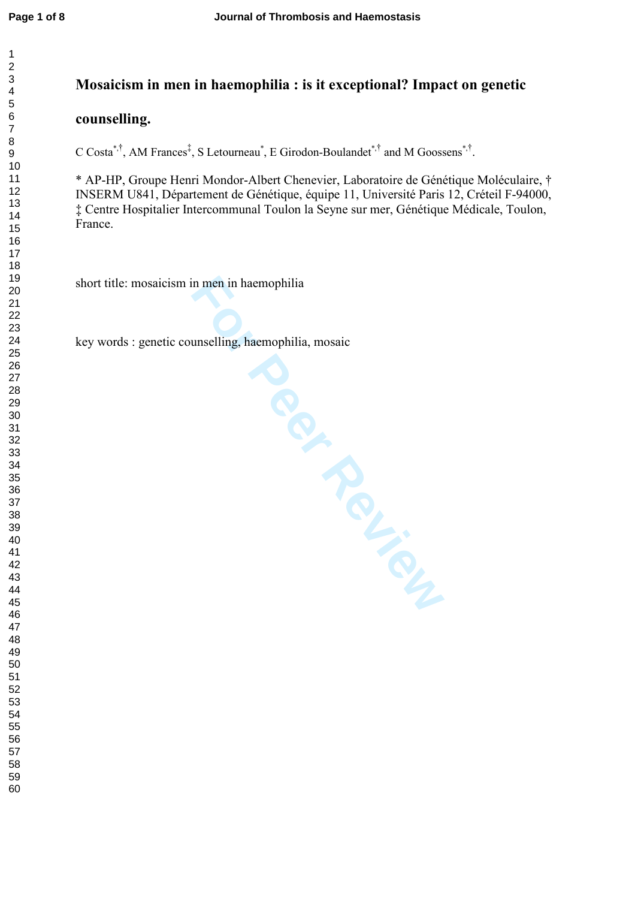$\mathbf{1}$  $\overline{2}$ 

## Mosaicism in men in haemophilia : is it exceptional? Impact on genetic

## counselling.

C Costa<sup>\*,†</sup>, AM Frances<sup>‡</sup>, S Letourneau<sup>\*</sup>, E Girodon-Boulandet<sup>\*,†</sup> and M Goossens<sup>\*,†</sup>.

\* AP-HP, Groupe Henri Mondor-Albert Chenevier, Laboratoire de Génétique Moléculaire, † INSERM U841, Département de Génétique, équipe 11, Université Paris 12, Créteil F-94000, ‡ Centre Hospitalier Intercommunal Toulon la Seyne sur mer, Génétique Médicale, Toulon, France.

short title: mosaicism in men in haemophilia

**For Periodicides** key words : genetic counselling, haemophilia, mosaic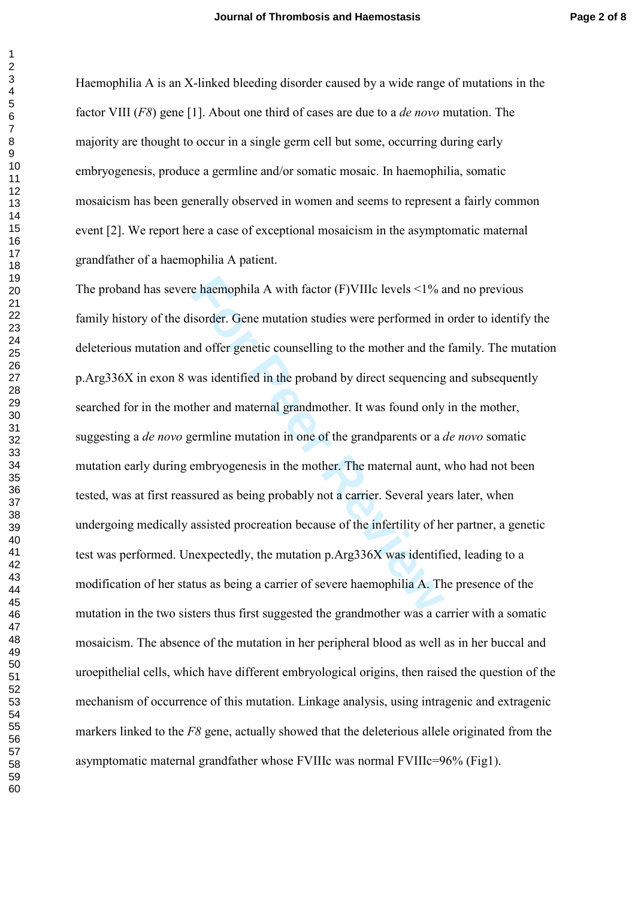Haemophilia A is an X-linked bleeding disorder caused by a wide range of mutations in the factor VIII (F8) gene [1]. About one third of cases are due to a *de novo* mutation. The majority are thought to occur in a single germ cell but some, occurring during early embryogenesis, produce a germline and/or somatic mosaic. In haemophilia, somatic mosaicism has been generally observed in women and seems to represent a fairly common event [2]. We report here a case of exceptional mosaicism in the asymptomatic maternal grandfather of a haemophilia A patient.

e haemophila A with factor (F)VIIIc levels <1% a<br>isorder. Gene mutation studies were performed in<br>md offer genetic counselling to the mother and the<br>was identified in the proband by direct sequencing<br>ther and maternal gran The proband has severe haemophila A with factor  $(F)$ VIIIc levels  $\leq$ 1% and no previous family history of the disorder. Gene mutation studies were performed in order to identify the deleterious mutation and offer genetic counselling to the mother and the family. The mutation p.Arg336X in exon 8 was identified in the proband by direct sequencing and subsequently searched for in the mother and maternal grandmother. It was found only in the mother, suggesting a *de novo* germline mutation in one of the grandparents or a *de novo* somatic mutation early during embryogenesis in the mother. The maternal aunt, who had not been tested, was at first reassured as being probably not a carrier. Several years later, when undergoing medically assisted procreation because of the infertility of her partner, a genetic test was performed. Unexpectedly, the mutation p.Arg336X was identified, leading to a modification of her status as being a carrier of severe haemophilia A. The presence of the mutation in the two sisters thus first suggested the grandmother was a carrier with a somatic mosaicism. The absence of the mutation in her peripheral blood as well as in her buccal and uroepithelial cells, which have different embryological origins, then raised the question of the mechanism of occurrence of this mutation. Linkage analysis, using intragenic and extragenic markers linked to the  $F8$  gene, actually showed that the deleterious allele originated from the asymptomatic maternal grandfather whose FVIIIc was normal FVIIIc=96% (Fig1).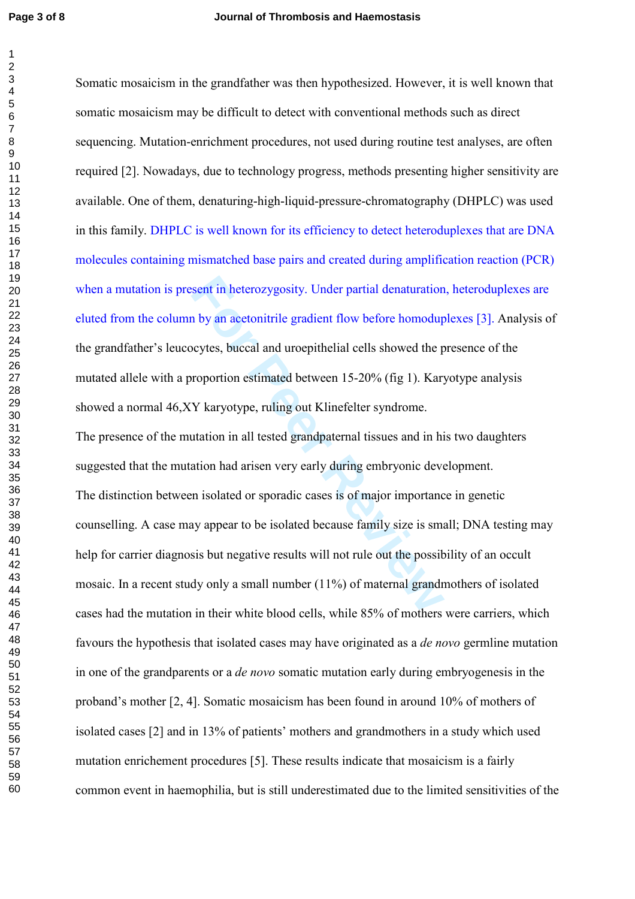$\overline{1}$  $\overline{2}$ 

Somatic mosaicism in the grandfather was then hypothesized. However, it is well known that somatic mosaicism may be difficult to detect with conventional methods such as direct sequencing. Mutation-enrichment procedures, not used during routine test analyses, are often required [2]. Nowadays, due to technology progress, methods presenting higher sensitivity are available. One of them, denaturing-high-liquid-pressure-chromatography (DHPLC) was used in this family. DHPLC is well known for its efficiency to detect heteroduplexes that are DNA molecules containing mismatched base pairs and created during amplification reaction (PCR) when a mutation is present in heterozygosity. Under partial denaturation, heteroduplexes are eluted from the column by an acetonitrile gradient flow before homoduplexes [3]. Analysis of the grandfather's leucocytes, buccal and uroepithelial cells showed the presence of the mutated allele with a proportion estimated between 15-20% (fig 1). Karyotype analysis showed a normal 46,XY karyotype, ruling out Klinefelter syndrome.

sent in heterozygosity. Under partial denaturation<br>a by an acetonitrile gradient flow before homodup<br>cytes, buccal and uroepithelial cells showed the p<br>roportion estimated between 15-20% (fig 1). Kary<br>Y karyotype, ruling o The presence of the mutation in all tested grandpaternal tissues and in his two daughters suggested that the mutation had arisen very early during embryonic development. The distinction between isolated or sporadic cases is of major importance in genetic counselling. A case may appear to be isolated because family size is small; DNA testing may help for carrier diagnosis but negative results will not rule out the possibility of an occult mosaic. In a recent study only a small number (11%) of maternal grandmothers of isolated cases had the mutation in their white blood cells, while 85% of mothers were carriers, which favours the hypothesis that isolated cases may have originated as a *de novo* germline mutation in one of the grandparents or a de novo somatic mutation early during embryogenesis in the proband's mother [2, 4]. Somatic mosaicism has been found in around 10% of mothers of isolated cases [2] and in 13% of patients' mothers and grandmothers in a study which used mutation enrichement procedures [5]. These results indicate that mosaicism is a fairly common event in haemophilia, but is still underestimated due to the limited sensitivities of the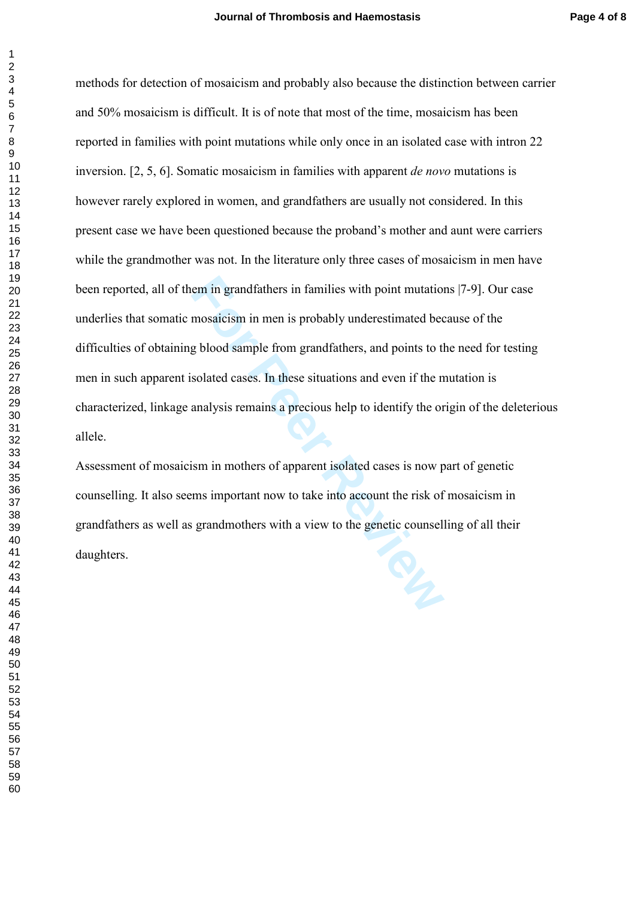em in grandfathers in families with point mutation<br>mosaicism in men is probably underestimated bee<br>g blood sample from grandfathers, and points to the<br>solated cases. In these situations and even if the n<br>analysis remains a methods for detection of mosaicism and probably also because the distinction between carrier and 50% mosaicism is difficult. It is of note that most of the time, mosaicism has been reported in families with point mutations while only once in an isolated case with intron 22 inversion. [2, 5, 6]. Somatic mosaicism in families with apparent de novo mutations is however rarely explored in women, and grandfathers are usually not considered. In this present case we have been questioned because the proband's mother and aunt were carriers while the grandmother was not. In the literature only three cases of mosaicism in men have been reported, all of them in grandfathers in families with point mutations |7-9]. Our case underlies that somatic mosaicism in men is probably underestimated because of the difficulties of obtaining blood sample from grandfathers, and points to the need for testing men in such apparent isolated cases. In these situations and even if the mutation is characterized, linkage analysis remains a precious help to identify the origin of the deleterious allele.

Assessment of mosaicism in mothers of apparent isolated cases is now part of genetic counselling. It also seems important now to take into account the risk of mosaicism in grandfathers as well as grandmothers with a view to the genetic counselling of all their daughters.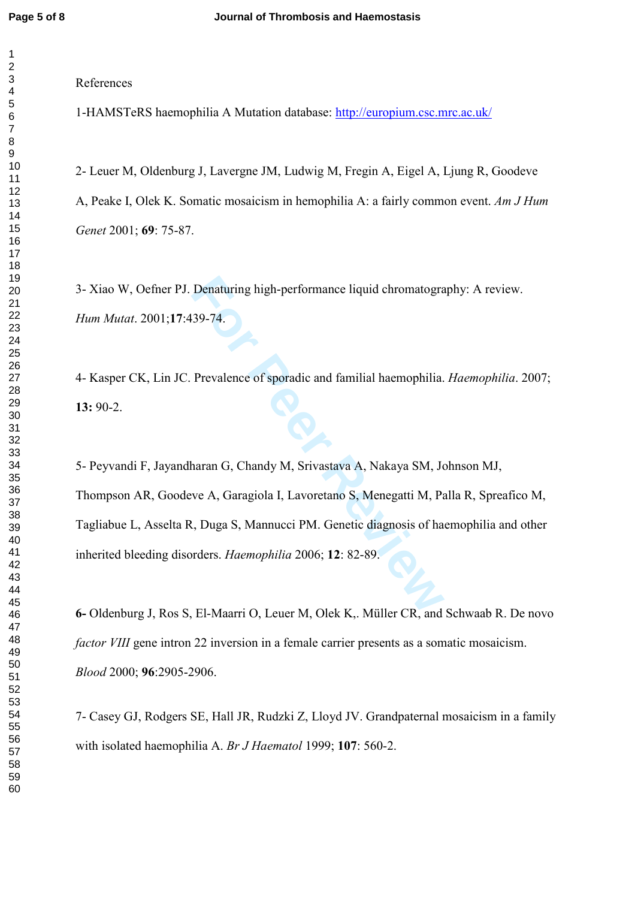$\mathbf{1}$  $\overline{2}$ 

References

1-HAMSTeRS haemophilia A Mutation database:<http://europium.csc.mrc.ac.uk/>

2- Leuer M, Oldenburg J, Lavergne JM, Ludwig M, Fregin A, Eigel A, Ljung R, Goodeve A, Peake I, Olek K. Somatic mosaicism in hemophilia A: a fairly common event. Am J Hum Genet 2001; **69**: 75-87.

3- Xiao W, Oefner PJ. Denaturing high-performance liquid chromatography: A review. Hum Mutat. 2001;17:439-74.

4- Kasper CK, Lin JC. Prevalence of sporadic and familial haemophilia. Haemophilia. 2007; 13: 90-2.

Denaturing high-performance liquid chromatogra<br>
39-74.<br>
Prevalence of sporadic and familial haemophilia.<br>
haran G, Chandy M, Srivastava A, Nakaya SM, Jove A, Garagiola I, Lavoretano S, Menegatti M, Pa<br>
i, Duga S, Mannucci 5- Peyvandi F, Jayandharan G, Chandy M, Srivastava A, Nakaya SM, Johnson MJ, Thompson AR, Goodeve A, Garagiola I, Lavoretano S, Menegatti M, Palla R, Spreafico M, Tagliabue L, Asselta R, Duga S, Mannucci PM. Genetic diagnosis of haemophilia and other inherited bleeding disorders. Haemophilia 2006; 12: 82-89.

6- Oldenburg J, Ros S, El-Maarri O, Leuer M, Olek K,. Müller CR, and Schwaab R. De novo factor VIII gene intron 22 inversion in a female carrier presents as a somatic mosaicism. Blood 2000; 96:2905-2906.

7- Casey GJ, Rodgers SE, Hall JR, Rudzki Z, Lloyd JV. Grandpaternal mosaicism in a family with isolated haemophilia A. Br J Haematol 1999; **107**: 560-2.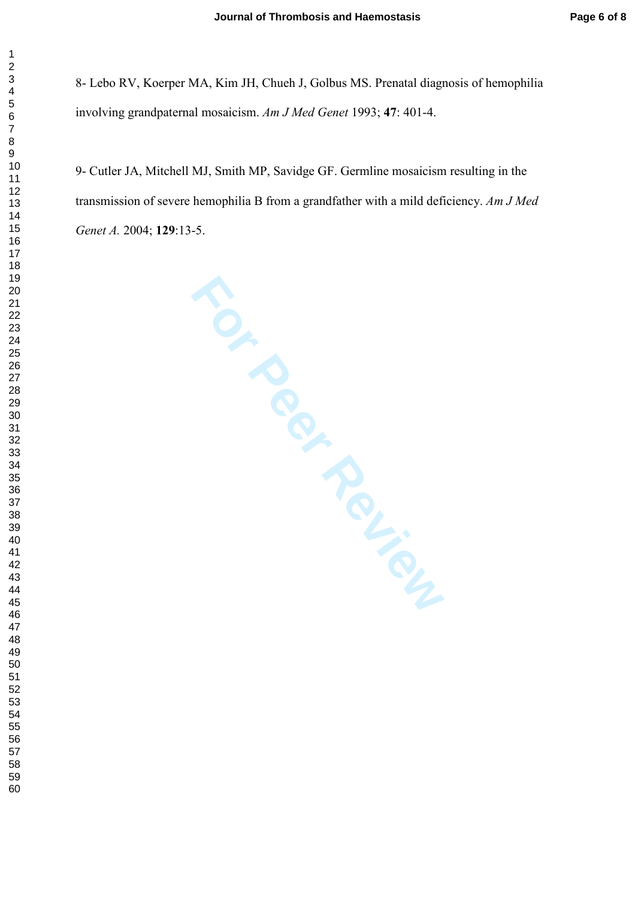8- Lebo RV, Koerper MA, Kim JH, Chueh J, Golbus MS. Prenatal diagnosis of hemophilia involving grandpaternal mosaicism. Am J Med Genet 1993; 47: 401-4.

9- Cutler JA, Mitchell MJ, Smith MP, Savidge GF. Germline mosaicism resulting in the transmission of severe hemophilia B from a grandfather with a mild deficiency. Am J Med Genet A. 2004; **129**:13-5.

**For Peripanties**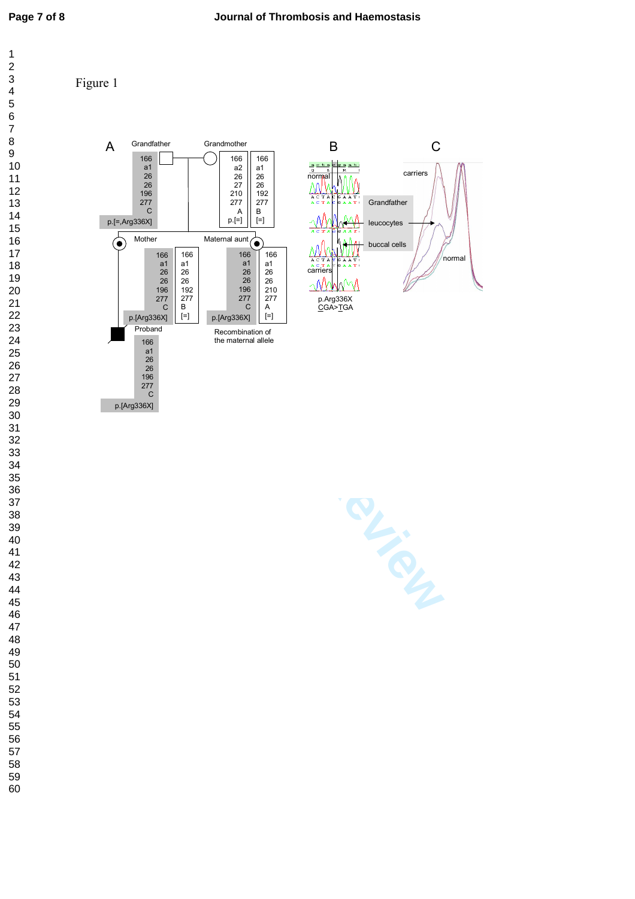$\overline{1}$  $\overline{2}$  $\overline{3}$